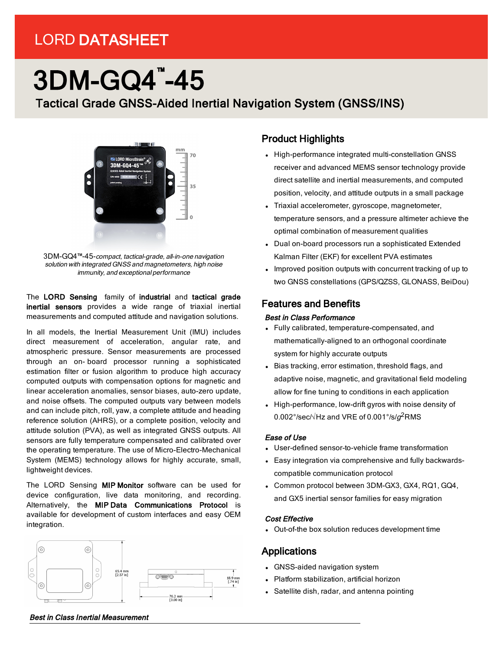# LORD DATASHEET

# 3DM-GQ4™ -45

## Tactical Grade GNSS-Aided Inertial Navigation System (GNSS/INS)



3DM-GQ4™-45-compact, tactical-grade, all-in-one navigation solution with integrated GNSS and magnetometers, high noise immunity, and exceptional performance

The LORD Sensing family of industrial and tactical grade inertial sensors provides a wide range of triaxial inertial measurements and computed attitude and navigation solutions.

In all models, the Inertial Measurement Unit (IMU) includes direct measurement of acceleration, angular rate, and atmospheric pressure. Sensor measurements are processed through an on- board processor running a sophisticated estimation filter or fusion algorithm to produce high accuracy computed outputs with compensation options for magnetic and linear acceleration anomalies, sensor biases, auto-zero update, and noise offsets. The computed outputs vary between models and can include pitch, roll, yaw, a complete attitude and heading reference solution (AHRS), or a complete position, velocity and attitude solution (PVA), as well as integrated GNSS outputs. All sensors are fully temperature compensated and calibrated over the operating temperature. The use of Micro-Electro-Mechanical System (MEMS) technology allows for highly accurate, small, lightweight devices.

The LORD Sensing MIP Monitor software can be used for device configuration, live data monitoring, and recording. Alternatively, the MIP Data Communications Protocol is available for development of custom interfaces and easy OEM integration.



### Product Highlights

- High-performance integrated multi-constellation GNSS receiver and advanced MEMS sensor technology provide direct satellite and inertial measurements, and computed position, velocity, and attitude outputs in a small package
- Triaxial accelerometer, gyroscope, magnetometer, temperature sensors, and a pressure altimeter achieve the optimal combination of measurement qualities
- Dual on-board processors run a sophisticated Extended Kalman Filter (EKF) for excellent PVA estimates
- Improved position outputs with concurrent tracking of up to two GNSS constellations (GPS/QZSS, GLONASS, BeiDou)

#### Features and Benefits

#### Best in Class Performance

- Fully calibrated, temperature-compensated, and mathematically-aligned to an orthogonal coordinate system for highly accurate outputs
- Bias tracking, error estimation, threshold flags, and adaptive noise, magnetic, and gravitational field modeling allow for fine tuning to conditions in each application
- High-performance, low-drift gyros with noise density of  $0.002^{\circ}$ /sec/ $\sqrt{$ Hz and VRE of  $0.001^{\circ}$ /s/ $g^2$ RMS

#### Ease of Use

- User-defined sensor-to-vehicle frame transformation
- Easy integration via comprehensive and fully backwardscompatible communication protocol
- Common protocol between 3DM-GX3, GX4, RQ1, GQ4, and GX5 inertial sensor families for easy migration

#### Cost Effective

• Out-of-the box solution reduces development time

### Applications

- GNSS-aided navigation system
- Platform stabilization, artificial horizon
- Satellite dish, radar, and antenna pointing

Best in Class Inertial Measurement